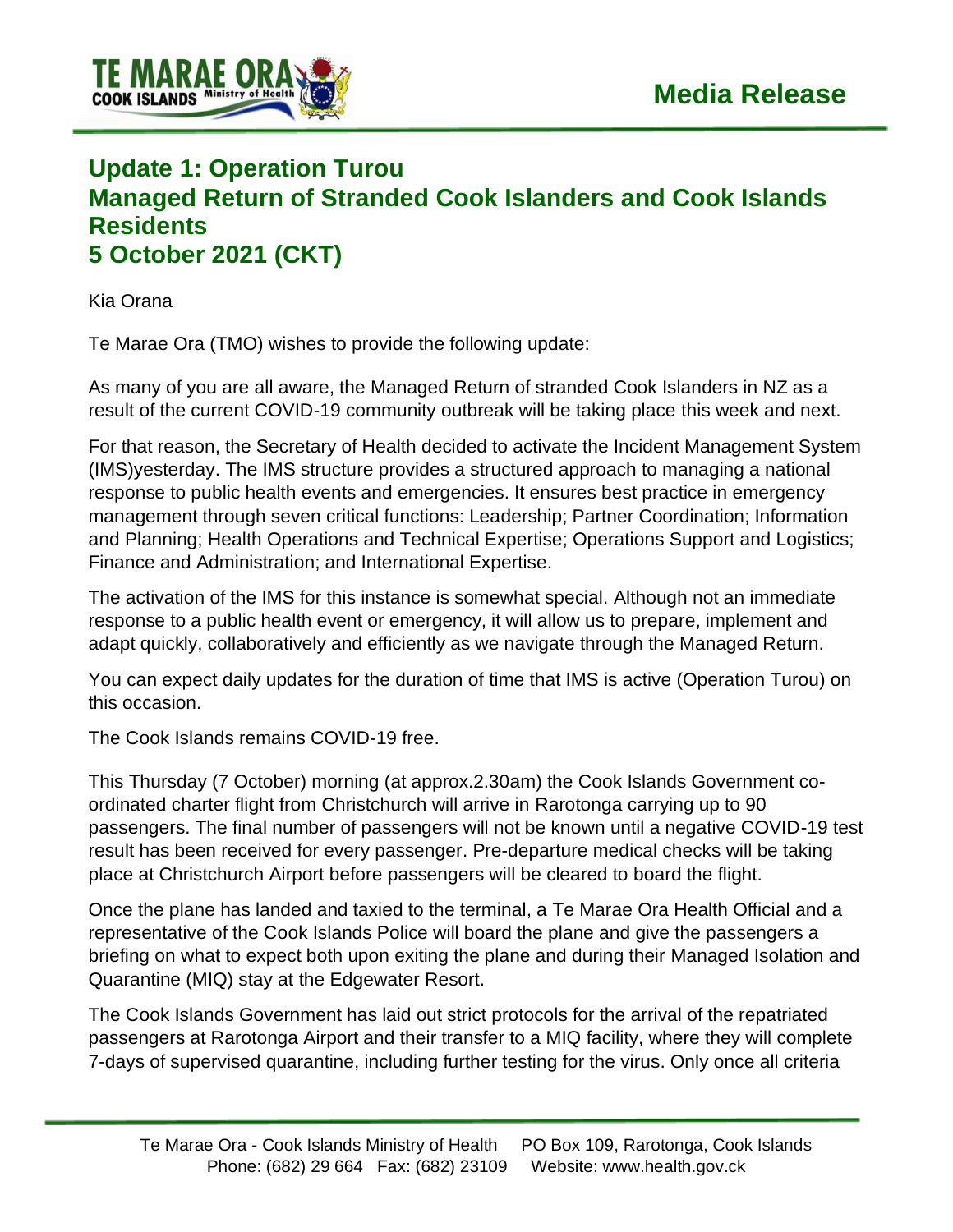

## **Update 1: Operation Turou Managed Return of Stranded Cook Islanders and Cook Islands Residents 5 October 2021 (CKT)**

Kia Orana

Te Marae Ora (TMO) wishes to provide the following update:

As many of you are all aware, the Managed Return of stranded Cook Islanders in NZ as a result of the current COVID-19 community outbreak will be taking place this week and next.

For that reason, the Secretary of Health decided to activate the Incident Management System (IMS)yesterday. The IMS structure provides a structured approach to managing a national response to public health events and emergencies. It ensures best practice in emergency management through seven critical functions: Leadership; Partner Coordination; Information and Planning; Health Operations and Technical Expertise; Operations Support and Logistics; Finance and Administration; and International Expertise.

The activation of the IMS for this instance is somewhat special. Although not an immediate response to a public health event or emergency, it will allow us to prepare, implement and adapt quickly, collaboratively and efficiently as we navigate through the Managed Return.

You can expect daily updates for the duration of time that IMS is active (Operation Turou) on this occasion.

The Cook Islands remains COVID-19 free.

This Thursday (7 October) morning (at approx.2.30am) the Cook Islands Government coordinated charter flight from Christchurch will arrive in Rarotonga carrying up to 90 passengers. The final number of passengers will not be known until a negative COVID-19 test result has been received for every passenger. Pre-departure medical checks will be taking place at Christchurch Airport before passengers will be cleared to board the flight.

Once the plane has landed and taxied to the terminal, a Te Marae Ora Health Official and a representative of the Cook Islands Police will board the plane and give the passengers a briefing on what to expect both upon exiting the plane and during their Managed Isolation and Quarantine (MIQ) stay at the Edgewater Resort.

The Cook Islands Government has laid out strict protocols for the arrival of the repatriated passengers at Rarotonga Airport and their transfer to a MIQ facility, where they will complete 7-days of supervised quarantine, including further testing for the virus. Only once all criteria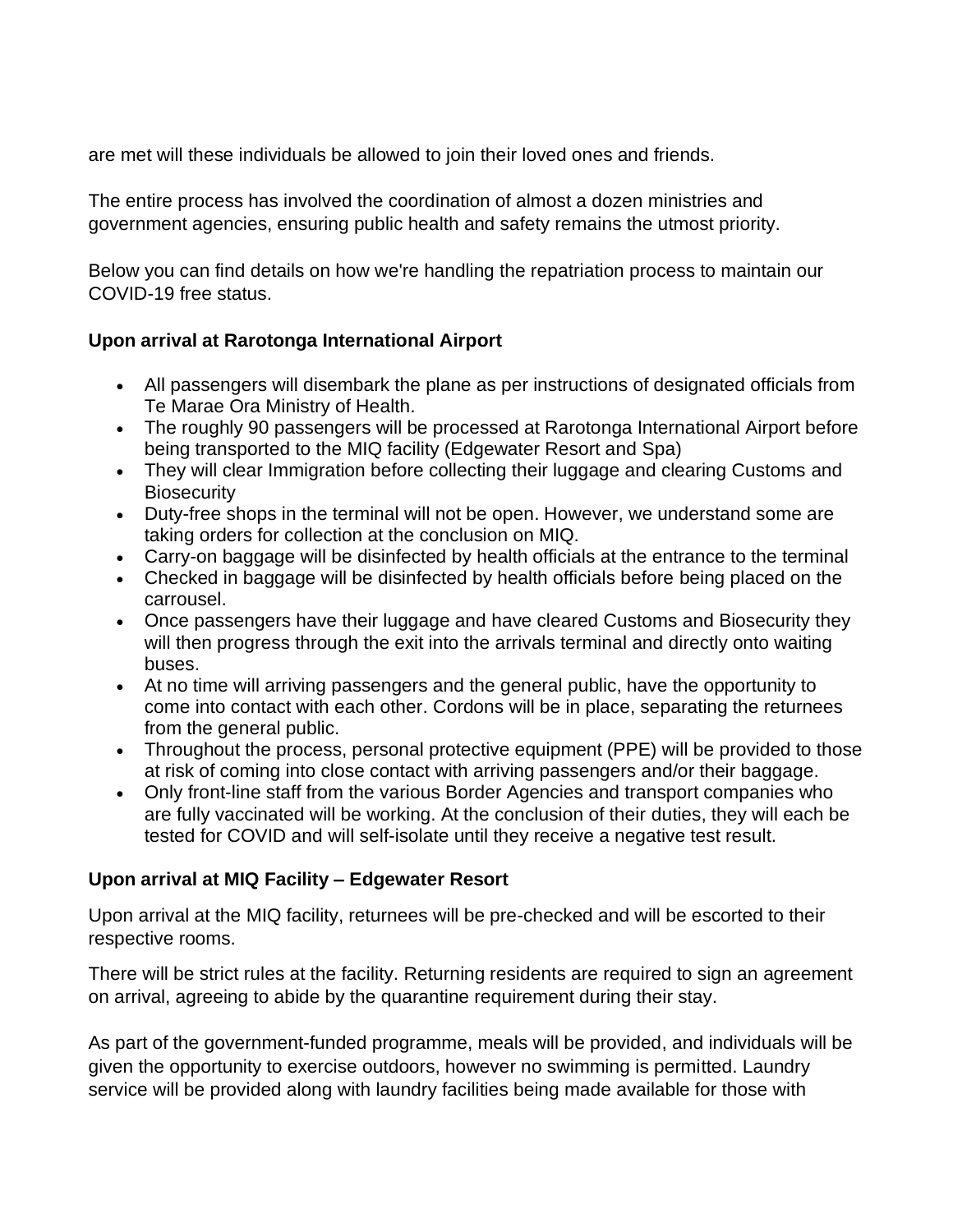are met will these individuals be allowed to join their loved ones and friends.

The entire process has involved the coordination of almost a dozen ministries and government agencies, ensuring public health and safety remains the utmost priority.

Below you can find details on how we're handling the repatriation process to maintain our COVID-19 free status.

## **Upon arrival at Rarotonga International Airport**

- All passengers will disembark the plane as per instructions of designated officials from Te Marae Ora Ministry of Health.
- The roughly 90 passengers will be processed at Rarotonga International Airport before being transported to the MIQ facility (Edgewater Resort and Spa)
- They will clear Immigration before collecting their luggage and clearing Customs and **Biosecurity**
- Duty-free shops in the terminal will not be open. However, we understand some are taking orders for collection at the conclusion on MIQ.
- Carry-on baggage will be disinfected by health officials at the entrance to the terminal
- Checked in baggage will be disinfected by health officials before being placed on the carrousel.
- Once passengers have their luggage and have cleared Customs and Biosecurity they will then progress through the exit into the arrivals terminal and directly onto waiting buses.
- At no time will arriving passengers and the general public, have the opportunity to come into contact with each other. Cordons will be in place, separating the returnees from the general public.
- Throughout the process, personal protective equipment (PPE) will be provided to those at risk of coming into close contact with arriving passengers and/or their baggage.
- Only front-line staff from the various Border Agencies and transport companies who are fully vaccinated will be working. At the conclusion of their duties, they will each be tested for COVID and will self-isolate until they receive a negative test result.

## **Upon arrival at MIQ Facility – Edgewater Resort**

Upon arrival at the MIQ facility, returnees will be pre-checked and will be escorted to their respective rooms.

There will be strict rules at the facility. Returning residents are required to sign an agreement on arrival, agreeing to abide by the quarantine requirement during their stay.

As part of the government-funded programme, meals will be provided, and individuals will be given the opportunity to exercise outdoors, however no swimming is permitted. Laundry service will be provided along with laundry facilities being made available for those with